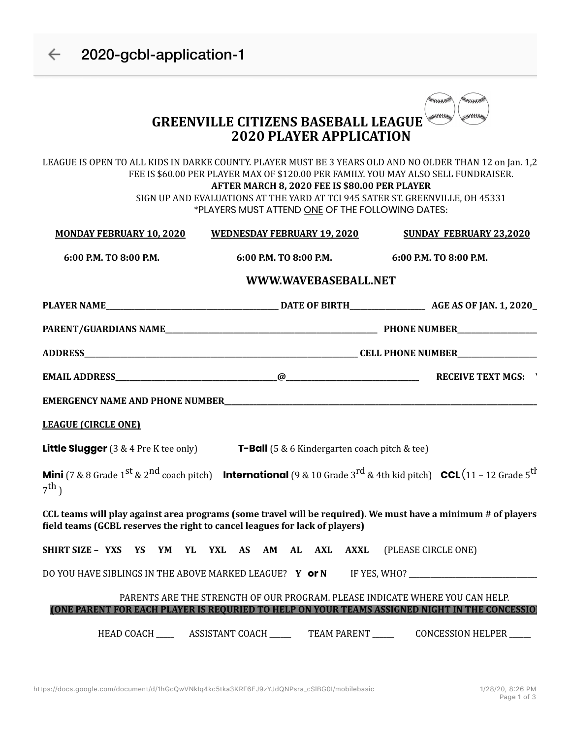| 2020-gcbl-application-1                                 |                                                                                                                                                                                                                                                                                                                                                                                      |                                                            |  |
|---------------------------------------------------------|--------------------------------------------------------------------------------------------------------------------------------------------------------------------------------------------------------------------------------------------------------------------------------------------------------------------------------------------------------------------------------------|------------------------------------------------------------|--|
|                                                         | <b>GREENVILLE CITIZENS BASEBALL LEAGUE</b><br><b>2020 PLAYER APPLICATION</b>                                                                                                                                                                                                                                                                                                         | <b>KKKKKKKKK</b><br><i>"</i> **********<br>,,,,,,,,,,,,,,, |  |
|                                                         | LEAGUE IS OPEN TO ALL KIDS IN DARKE COUNTY. PLAYER MUST BE 3 YEARS OLD AND NO OLDER THAN 12 on Jan. 1,2<br>FEE IS \$60.00 PER PLAYER MAX OF \$120.00 PER FAMILY. YOU MAY ALSO SELL FUNDRAISER.<br>AFTER MARCH 8, 2020 FEE IS \$80.00 PER PLAYER<br>SIGN UP AND EVALUATIONS AT THE YARD AT TCI 945 SATER ST. GREENVILLE, OH 45331<br>*PLAYERS MUST ATTEND ONE OF THE FOLLOWING DATES: |                                                            |  |
| <b>MONDAY FEBRUARY 10, 2020</b>                         | <b>WEDNESDAY FEBRUARY 19, 2020</b>                                                                                                                                                                                                                                                                                                                                                   | <b>SUNDAY FEBRUARY 23,2020</b>                             |  |
| 6:00 P.M. TO 8:00 P.M.                                  | 6:00 P.M. TO 8:00 P.M.                                                                                                                                                                                                                                                                                                                                                               | 6:00 P.M. TO 8:00 P.M.                                     |  |
|                                                         | WWW.WAVEBASEBALL.NET                                                                                                                                                                                                                                                                                                                                                                 |                                                            |  |
|                                                         |                                                                                                                                                                                                                                                                                                                                                                                      |                                                            |  |
|                                                         |                                                                                                                                                                                                                                                                                                                                                                                      |                                                            |  |
|                                                         |                                                                                                                                                                                                                                                                                                                                                                                      |                                                            |  |
|                                                         |                                                                                                                                                                                                                                                                                                                                                                                      |                                                            |  |
|                                                         |                                                                                                                                                                                                                                                                                                                                                                                      |                                                            |  |
| <b>LEAGUE (CIRCLE ONE)</b>                              |                                                                                                                                                                                                                                                                                                                                                                                      |                                                            |  |
|                                                         | <b>Little Slugger</b> (3 & 4 Pre K tee only) $T$ -Ball (5 & 6 Kindergarten coach pitch & tee)                                                                                                                                                                                                                                                                                        |                                                            |  |
| $7^{\text{th}}$ )                                       | <b>Mini</b> (7 & 8 Grade 1 <sup>st</sup> & 2 <sup>nd</sup> coach pitch) <b>International</b> (9 & 10 Grade 3 <sup>rd</sup> & 4th kid pitch) <b>CCL</b> (11 – 12 Grade 5 <sup>th</sup>                                                                                                                                                                                                |                                                            |  |
|                                                         | CCL teams will play against area programs (some travel will be required). We must have a minimum # of players<br>field teams (GCBL reserves the right to cancel leagues for lack of players)                                                                                                                                                                                         |                                                            |  |
|                                                         | SHIRT SIZE - YXS YS YM YL YXL AS AM AL AXL AXXL                                                                                                                                                                                                                                                                                                                                      | (PLEASE CIRCLE ONE)                                        |  |
|                                                         |                                                                                                                                                                                                                                                                                                                                                                                      |                                                            |  |
| DO YOU HAVE SIBLINGS IN THE ABOVE MARKED LEAGUE? Y or N |                                                                                                                                                                                                                                                                                                                                                                                      |                                                            |  |
|                                                         | PARENTS ARE THE STRENGTH OF OUR PROGRAM. PLEASE INDICATE WHERE YOU CAN HELP.                                                                                                                                                                                                                                                                                                         |                                                            |  |
|                                                         | <u>(ONE PARENT FOR EACH PLAYER IS REQURIED TO HELP ON YOUR TEAMS ASSIGNED NIGHT IN THE CONCESSIO</u><br>HEAD COACH ________ ASSISTANT COACH __________ TEAM PARENT __________ CONCESSION HELPER _____                                                                                                                                                                                |                                                            |  |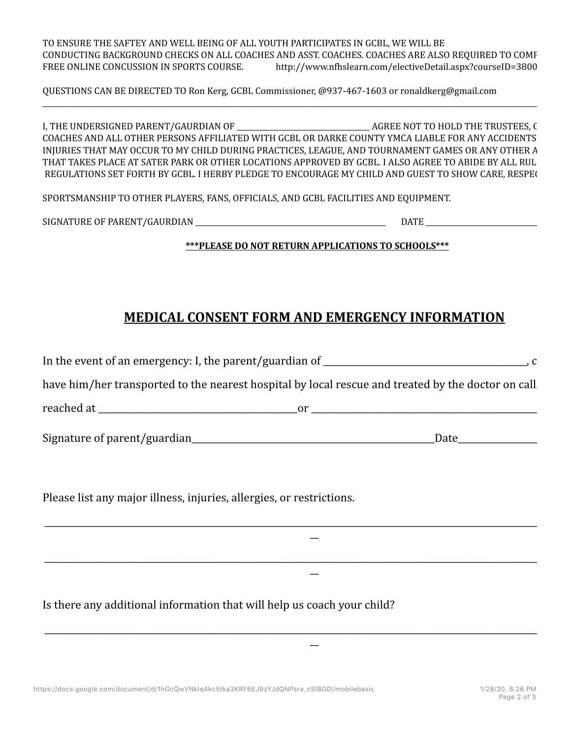TO ENSURE THE SAFTEY AND WELL BEING OF ALL YOUTH PARTICIPATES IN GCBL, WE WILL BE CONDUCTING BACKGROUND CHECKS ON ALL COACHES AND ASST. COACHES. COACHES ARE ALSO REQUIRED TO COMPLETE FREE ONLINE CONCUSSION IN SPORTS COURSE. http://www.nfhslearn.com/electiveDetail.aspx?courseID=3800

QUESTIONS CAN BE DIRECTED TO Ron Kerg, GCBL Commissioner, @937-467-1603 or ronaldkerg@gmail.com

I, THE UNDERSIGNED PARENT/GAURDIAN OF \_\_\_\_\_\_\_\_\_\_\_\_\_\_\_\_\_\_\_\_\_\_\_\_\_\_\_\_\_\_\_\_\_\_\_\_\_ AGREE NOT TO HOLD THE TRUSTEES, OFFICERS, COACHES AND ALL OTHER PERSONS AFFILIATED WITH GCBL OR DARKE COUNTY YMCA LIABLE FOR ANY ACCIDENTS OR INJURIES THAT MAY OCCUR TO MY CHILD DURING PRACTICES, LEAGUE, AND TOURNAMENT GAMES OR ANY OTHER A THAT TAKES PLACE AT SATER PARK OR OTHER LOCATIONS APPROVED BY GCBL. I ALSO AGREE TO ABIDE BY ALL RUL REGULATIONS SET FORTH BY GCBL. I HERBY PLEDGE TO ENCOURAGE MY CHILD AND GUEST TO SHOW CARE, RESPECT

\_\_\_\_\_\_\_\_\_\_\_\_\_\_\_\_\_\_\_\_\_\_\_\_\_\_\_\_\_\_\_\_\_\_\_\_\_\_\_\_\_\_\_\_\_\_\_\_\_\_\_\_\_\_\_\_\_\_\_\_\_\_\_\_\_\_\_\_\_\_\_\_\_\_\_\_\_\_\_\_\_\_\_\_\_\_\_\_\_\_\_\_\_\_\_\_\_\_\_\_\_\_\_\_\_\_\_\_\_\_\_\_\_\_\_\_\_\_\_\_\_\_\_\_\_\_\_\_\_\_\_\_\_\_\_\_\_\_\_\_\_\_\_\_\_\_\_\_\_

SPORTSMANSHIP TO OTHER PLAYERS, FANS, OFFICIALS, AND GCBL FACILITIES AND EQUIPMENT.

SIGNATURE OF PARENT/GAURDIAN \_\_\_\_\_\_\_\_\_\_\_\_\_\_\_\_\_\_\_\_\_\_\_\_\_\_\_\_\_\_\_\_\_\_\_\_\_\_\_\_\_\_\_\_\_\_\_\_\_\_\_\_\_ DATE \_\_\_\_\_\_\_\_\_\_\_\_\_\_\_\_\_\_\_\_\_\_\_\_\_\_\_\_\_\_\_\_\_\_\_\_\_\_\_\_\_

**\*\*\*PLEASE DO NOT RETURN APPLICATIONS TO SCHOOLS\*\*\***

## **MEDICAL CONSENT FORM AND EMERGENCY INFORMATION**

| have him/her transported to the nearest hospital by local rescue and treated by the doctor on call. |  |
|-----------------------------------------------------------------------------------------------------|--|
|                                                                                                     |  |
|                                                                                                     |  |
|                                                                                                     |  |
| Please list any major illness, injuries, allergies, or restrictions.                                |  |
|                                                                                                     |  |
|                                                                                                     |  |
|                                                                                                     |  |

\_\_\_\_\_\_\_\_\_\_\_\_\_\_\_\_\_\_\_\_\_\_\_\_\_\_\_\_\_\_\_\_\_\_\_\_\_\_\_\_\_\_\_\_\_\_\_\_\_\_\_\_\_\_\_\_\_\_\_\_\_\_\_\_\_\_\_\_\_\_\_\_\_\_\_\_\_\_\_\_\_\_\_\_\_\_\_\_\_\_\_\_\_\_\_\_\_\_\_\_\_\_\_\_\_\_\_\_\_\_\_\_\_\_\_\_\_\_\_\_\_\_ \_\_

Is there any additional information that will help us coach your child?